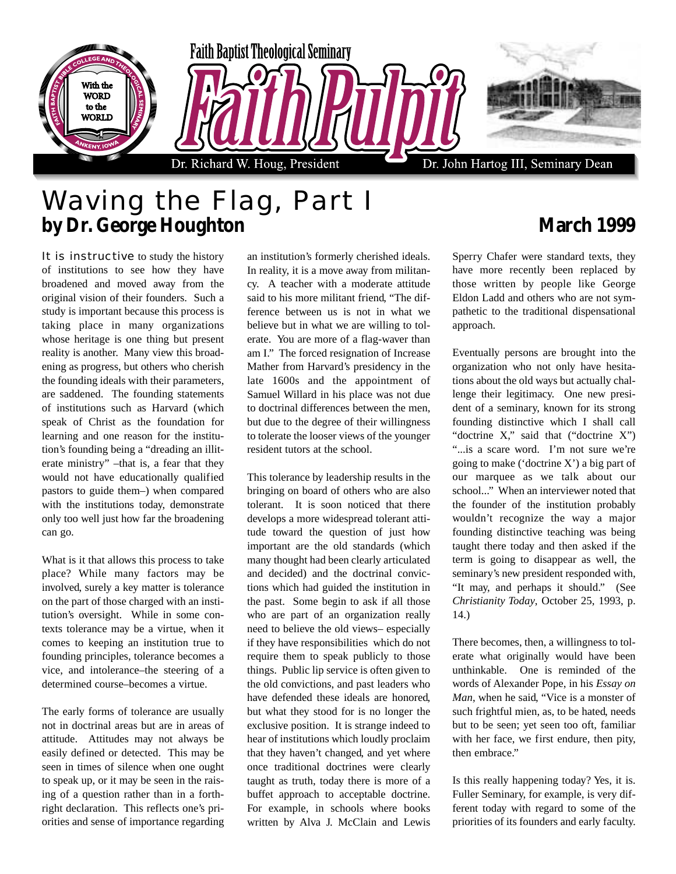

## Waving the Flag, Part I **by Dr. George Houghton March 1999**

It is instructive to study the history of institutions to see how they have broadened and moved away from the original vision of their founders. Such a study is important because this process is taking place in many organizations whose heritage is one thing but present reality is another. Many view this broadening as progress, but others who cherish the founding ideals with their parameters, are saddened. The founding statements of institutions such as Harvard (which speak of Christ as the foundation for learning and one reason for the institution's founding being a "dreading an illiterate ministry" –that is, a fear that they would not have educationally qualified pastors to guide them–) when compared with the institutions today, demonstrate only too well just how far the broadening can go.

What is it that allows this process to take place? While many factors may be involved, surely a key matter is tolerance on the part of those charged with an institution's oversight. While in some contexts tolerance may be a virtue, when it comes to keeping an institution true to founding principles, tolerance becomes a vice, and intolerance–the steering of a determined course–becomes a virtue.

The early forms of tolerance are usually not in doctrinal areas but are in areas of attitude. Attitudes may not always be easily defined or detected. This may be seen in times of silence when one ought to speak up, or it may be seen in the raising of a question rather than in a forthright declaration. This reflects one's priorities and sense of importance regarding

an institution's formerly cherished ideals. In reality, it is a move away from militancy. A teacher with a moderate attitude said to his more militant friend, "The difference between us is not in what we believe but in what we are willing to tolerate. You are more of a flag-waver than am I." The forced resignation of Increase Mather from Harvard's presidency in the late 1600s and the appointment of Samuel Willard in his place was not due to doctrinal differences between the men, but due to the degree of their willingness to tolerate the looser views of the younger resident tutors at the school.

This tolerance by leadership results in the bringing on board of others who are also tolerant. It is soon noticed that there develops a more widespread tolerant attitude toward the question of just how important are the old standards (which many thought had been clearly articulated and decided) and the doctrinal convictions which had guided the institution in the past. Some begin to ask if all those who are part of an organization really need to believe the old views– especially if they have responsibilities which do not require them to speak publicly to those things. Public lip service is often given to the old convictions, and past leaders who have defended these ideals are honored, but what they stood for is no longer the exclusive position. It is strange indeed to hear of institutions which loudly proclaim that they haven't changed, and yet where once traditional doctrines were clearly taught as truth, today there is more of a buffet approach to acceptable doctrine. For example, in schools where books written by Alva J. McClain and Lewis

Sperry Chafer were standard texts, they have more recently been replaced by those written by people like George Eldon Ladd and others who are not sympathetic to the traditional dispensational approach.

Eventually persons are brought into the organization who not only have hesitations about the old ways but actually challenge their legitimacy. One new president of a seminary, known for its strong founding distinctive which I shall call "doctrine X," said that ("doctrine X") "...is a scare word. I'm not sure we're going to make ('doctrine X') a big part of our marquee as we talk about our school..." When an interviewer noted that the founder of the institution probably wouldn't recognize the way a major founding distinctive teaching was being taught there today and then asked if the term is going to disappear as well, the seminary's new president responded with, "It may, and perhaps it should." (See *Christianity Today*, October 25, 1993, p. 14.)

There becomes, then, a willingness to tolerate what originally would have been unthinkable. One is reminded of the words of Alexander Pope, in his *Essay on Man*, when he said, "Vice is a monster of such frightful mien, as, to be hated, needs but to be seen; yet seen too oft, familiar with her face, we first endure, then pity, then embrace."

Is this really happening today? Yes, it is. Fuller Seminary, for example, is very different today with regard to some of the priorities of its founders and early faculty.